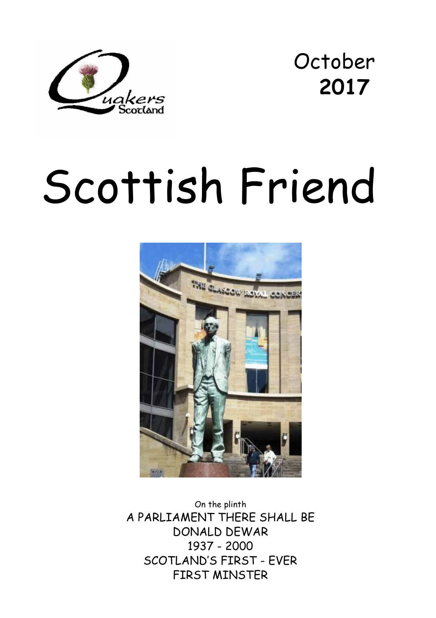

October **2017** 

# Scottish Friend



On the plinth A PARLIAMENT THERE SHALL BE DONALD DEWAR 1937 - 2000 SCOTLAND'S FIRST - EVER FIRST MINSTER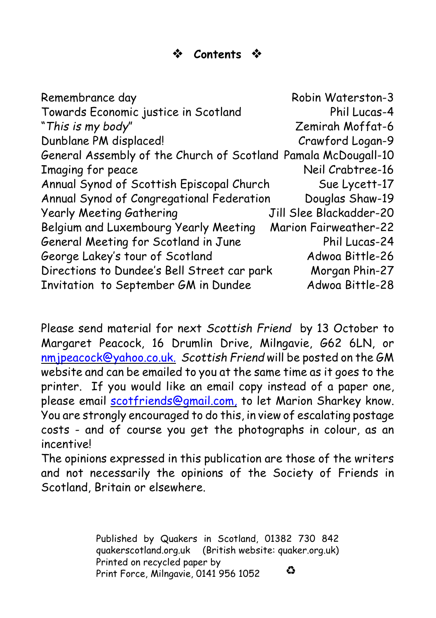#### **Contents**

Remembrance day Remembrance day Towards Economic justice in Scotland Phil Lucas-4 "*This is my body*" Zemirah Moffat-6 Dunblane PM displaced! Crawford Logan-9 General Assembly of the Church of Scotland Pamala McDougall-10 Imaging for peace Neil Crabtree-16 Annual Synod of Scottish Episcopal Church Sue Lycett-17 Annual Synod of Congregational Federation Douglas Shaw-19 Yearly Meeting Gathering Jill Slee Blackadder-20 Belgium and Luxembourg Yearly Meeting Marion Fairweather-22 General Meeting for Scotland in June Phil Lucas-24 George Lakey's tour of Scotland Adwoa Bittle-26 Directions to Dundee's Bell Street car park Morgan Phin-27 Invitation to September GM in Dundee Adwoa Bittle-28

Please send material for next *Scottish Friend* by 13 October to Margaret Peacock, 16 Drumlin Drive, Milngavie, G62 6LN, or [nmjpeacock@yahoo.co.uk.](mailto:nmjpeacock@yahoo.co.uk.) *Scottish Friend* will be posted on the GM website and can be emailed to you at the same time as it goes to the printer. If you would like an email copy instead of a paper one, please email **scotfriends@gmail.com**, to let Marion Sharkey know. You are strongly encouraged to do this, in view of escalating postage costs - and of course you get the photographs in colour, as an incentive!

The opinions expressed in this publication are those of the writers and not necessarily the opinions of the Society of Friends in Scotland, Britain or elsewhere.

> Published by Quakers in Scotland, 01382 730 842 quakerscotland.org.uk (British website: quaker.org.uk) Printed on recycled paper by ۵ Print Force, Milngavie, 0141 956 1052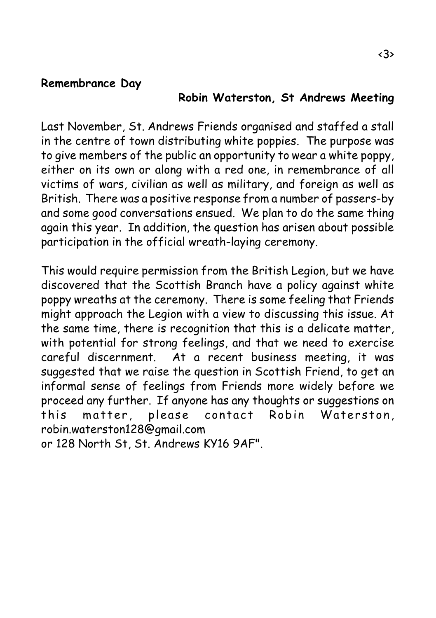#### **Remembrance Day**

#### **Robin Waterston, St Andrews Meeting**

Last November, St. Andrews Friends organised and staffed a stall in the centre of town distributing white poppies. The purpose was to give members of the public an opportunity to wear a white poppy, either on its own or along with a red one, in remembrance of all victims of wars, civilian as well as military, and foreign as well as British. There was a positive response from a number of passers-by and some good conversations ensued. We plan to do the same thing again this year. In addition, the question has arisen about possible participation in the official wreath-laying ceremony.

This would require permission from the British Legion, but we have discovered that the Scottish Branch have a policy against white poppy wreaths at the ceremony. There is some feeling that Friends might approach the Legion with a view to discussing this issue. At the same time, there is recognition that this is a delicate matter, with potential for strong feelings, and that we need to exercise careful discernment. At a recent business meeting, it was suggested that we raise the question in Scottish Friend, to get an informal sense of feelings from Friends more widely before we proceed any further. If anyone has any thoughts or suggestions on this matter, please contact Robin Waterston, robin.waterston128@gmail.com

or 128 North St, St. Andrews KY16 9AF".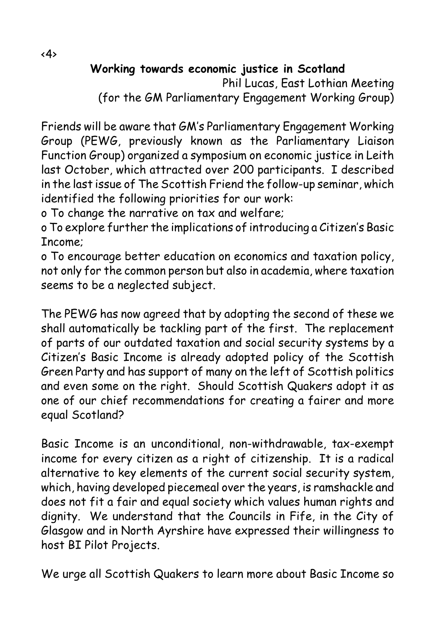**Working towards economic justice in Scotland**

Phil Lucas, East Lothian Meeting (for the GM Parliamentary Engagement Working Group)

Friends will be aware that GM's Parliamentary Engagement Working Group (PEWG, previously known as the Parliamentary Liaison Function Group) organized a symposium on economic justice in Leith last October, which attracted over 200 participants. I described in the last issue of The Scottish Friend the follow-up seminar, which identified the following priorities for our work:

o To change the narrative on tax and welfare;

o To explore further the implications of introducing a Citizen's Basic Income;

o To encourage better education on economics and taxation policy, not only for the common person but also in academia, where taxation seems to be a neglected subject.

The PEWG has now agreed that by adopting the second of these we shall automatically be tackling part of the first. The replacement of parts of our outdated taxation and social security systems by a Citizen's Basic Income is already adopted policy of the Scottish Green Party and has support of many on the left of Scottish politics and even some on the right. Should Scottish Quakers adopt it as one of our chief recommendations for creating a fairer and more equal Scotland?

Basic Income is an unconditional, non-withdrawable, tax-exempt income for every citizen as a right of citizenship. It is a radical alternative to key elements of the current social security system, which, having developed piecemeal over the years, is ramshackle and does not fit a fair and equal society which values human rights and dignity. We understand that the Councils in Fife, in the City of Glasgow and in North Ayrshire have expressed their willingness to host BI Pilot Projects.

We urge all Scottish Quakers to learn more about Basic Income so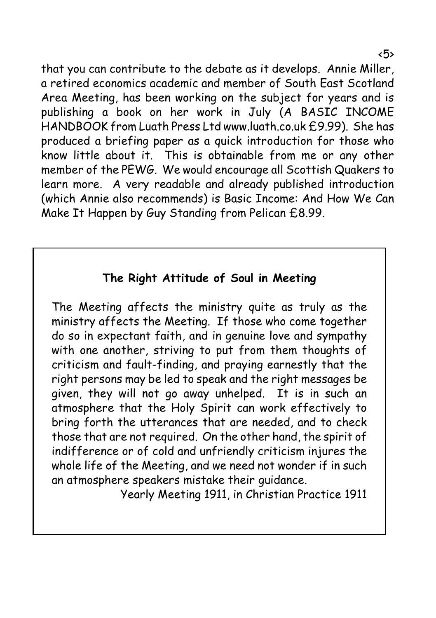that you can contribute to the debate as it develops. Annie Miller, a retired economics academic and member of South East Scotland Area Meeting, has been working on the subject for years and is publishing a book on her work in July (A BASIC INCOME HANDBOOK from Luath Press Ltd www.luath.co.uk £9.99). She has produced a briefing paper as a quick introduction for those who know little about it. This is obtainable from me or any other member of the PEWG. We would encourage all Scottish Quakers to learn more. A very readable and already published introduction (which Annie also recommends) is Basic Income: And How We Can Make It Happen by Guy Standing from Pelican £8.99.

#### **The Right Attitude of Soul in Meeting**

The Meeting affects the ministry quite as truly as the ministry affects the Meeting. If those who come together do so in expectant faith, and in genuine love and sympathy with one another, striving to put from them thoughts of criticism and fault-finding, and praying earnestly that the right persons may be led to speak and the right messages be given, they will not go away unhelped. It is in such an atmosphere that the Holy Spirit can work effectively to bring forth the utterances that are needed, and to check those that are not required. On the other hand, the spirit of indifference or of cold and unfriendly criticism injures the whole life of the Meeting, and we need not wonder if in such an atmosphere speakers mistake their guidance.

Yearly Meeting 1911, in Christian Practice 1911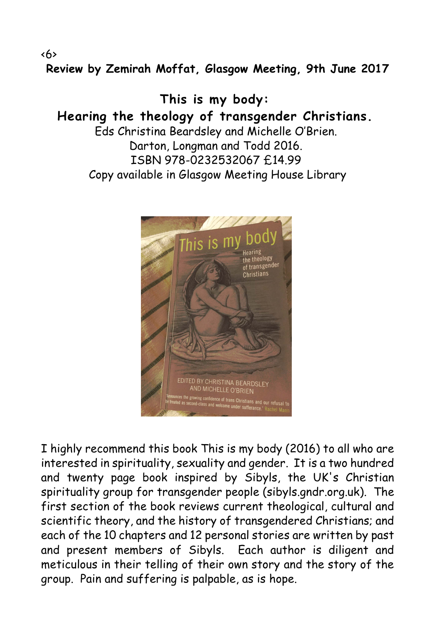**Review by Zemirah Moffat, Glasgow Meeting, 9th June 2017**

**This is my body: Hearing the theology of transgender Christians.** Eds Christina Beardsley and Michelle O'Brien. Darton, Longman and Todd 2016. ISBN 978-0232532067 £14.99 Copy available in Glasgow Meeting House Library



I highly recommend this book This is my body (2016) to all who are interested in spirituality, sexuality and gender. It is a two hundred and twenty page book inspired by Sibyls, the UK's Christian spirituality group for transgender people (sibyls.gndr.org.uk). The first section of the book reviews current theological, cultural and scientific theory, and the history of transgendered Christians; and each of the 10 chapters and 12 personal stories are written by past and present members of Sibyls. Each author is diligent and meticulous in their telling of their own story and the story of the group. Pain and suffering is palpable, as is hope.

<6>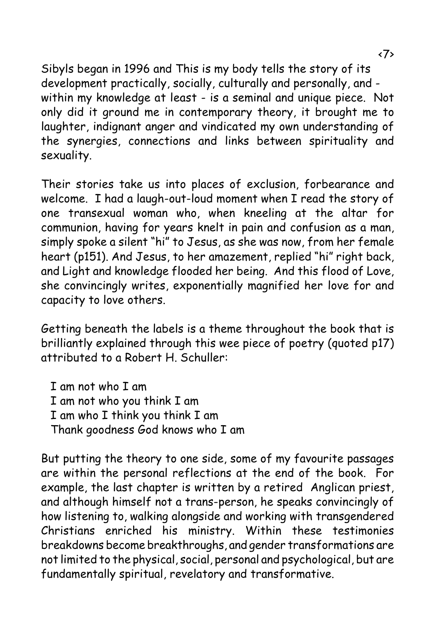Sibyls began in 1996 and This is my body tells the story of its development practically, socially, culturally and personally, and within my knowledge at least - is a seminal and unique piece. Not only did it ground me in contemporary theory, it brought me to laughter, indignant anger and vindicated my own understanding of the synergies, connections and links between spirituality and sexuality.

Their stories take us into places of exclusion, forbearance and welcome. I had a laugh-out-loud moment when I read the story of one transexual woman who, when kneeling at the altar for communion, having for years knelt in pain and confusion as a man, simply spoke a silent "hi" to Jesus, as she was now, from her female heart (p151). And Jesus, to her amazement, replied "hi" right back, and Light and knowledge flooded her being. And this flood of Love, she convincingly writes, exponentially magnified her love for and capacity to love others.

Getting beneath the labels is a theme throughout the book that is brilliantly explained through this wee piece of poetry (quoted p17) attributed to a Robert H. Schuller:

I am not who I am I am not who you think I am I am who I think you think I am Thank goodness God knows who I am

But putting the theory to one side, some of my favourite passages are within the personal reflections at the end of the book. For example, the last chapter is written by a retired Anglican priest, and although himself not a trans-person, he speaks convincingly of how listening to, walking alongside and working with transgendered Christians enriched his ministry. Within these testimonies breakdowns become breakthroughs, and gender transformations are not limited to the physical, social, personal and psychological, but are fundamentally spiritual, revelatory and transformative.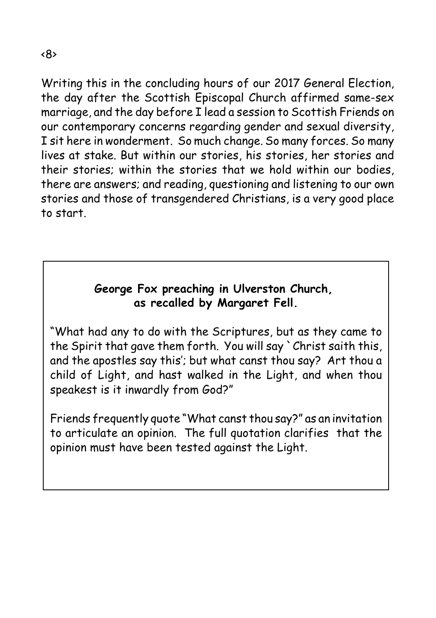Writing this in the concluding hours of our 2017 General Election, the day after the Scottish Episcopal Church affirmed same-sex marriage, and the day before I lead a session to Scottish Friends on our contemporary concerns regarding gender and sexual diversity, I sit here in wonderment. So much change. So many forces. So many lives at stake. But within our stories, his stories, her stories and their stories; within the stories that we hold within our bodies, there are answers; and reading, questioning and listening to our own stories and those of transgendered Christians, is a very good place to start.

#### **George Fox preaching in Ulverston Church, as recalled by Margaret Fell.**

"What had any to do with the Scriptures, but as they came to the Spirit that gave them forth. You will say `Christ saith this, and the apostles say this'; but what canst thou say? Art thou a child of Light, and hast walked in the Light, and when thou speakest is it inwardly from God?"

Friends frequently quote "What canst thou say?" as an invitation to articulate an opinion. The full quotation clarifies that the opinion must have been tested against the Light.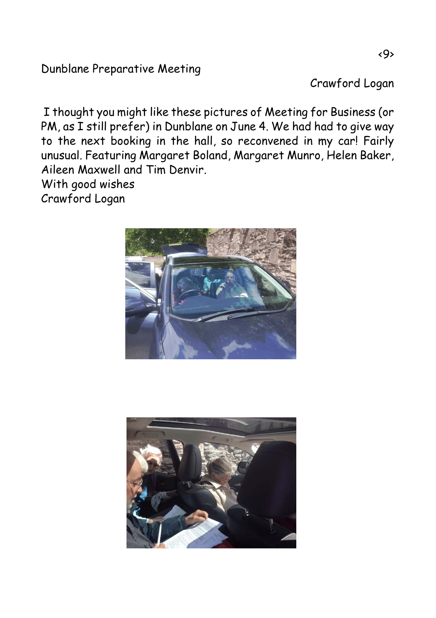#### Dunblane Preparative Meeting

Crawford Logan

 I thought you might like these pictures of Meeting for Business (or PM, as I still prefer) in Dunblane on June 4. We had had to give way to the next booking in the hall, so reconvened in my car! Fairly unusual. Featuring Margaret Boland, Margaret Munro, Helen Baker, Aileen Maxwell and Tim Denvir.

With good wishes Crawford Logan



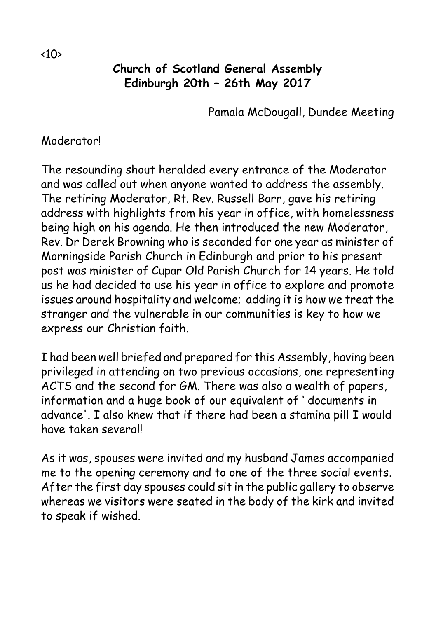#### **Church of Scotland General Assembly Edinburgh 20th – 26th May 2017**

Pamala McDougall, Dundee Meeting

#### Moderator!

The resounding shout heralded every entrance of the Moderator and was called out when anyone wanted to address the assembly. The retiring Moderator, Rt. Rev. Russell Barr, gave his retiring address with highlights from his year in office, with homelessness being high on his agenda. He then introduced the new Moderator, Rev. Dr Derek Browning who is seconded for one year as minister of Morningside Parish Church in Edinburgh and prior to his present post was minister of Cupar Old Parish Church for 14 years. He told us he had decided to use his year in office to explore and promote issues around hospitality and welcome; adding it is how we treat the stranger and the vulnerable in our communities is key to how we express our Christian faith.

I had been well briefed and prepared for this Assembly, having been privileged in attending on two previous occasions, one representing ACTS and the second for GM. There was also a wealth of papers, information and a huge book of our equivalent of ' documents in advance'. I also knew that if there had been a stamina pill I would have taken several!

As it was, spouses were invited and my husband James accompanied me to the opening ceremony and to one of the three social events. After the first day spouses could sit in the public gallery to observe whereas we visitors were seated in the body of the kirk and invited to speak if wished.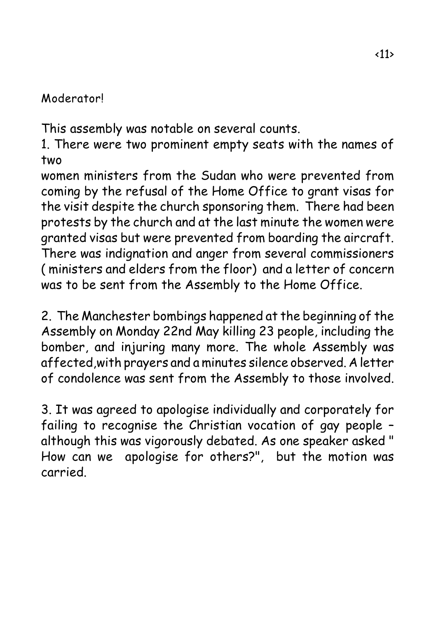#### Moderator!

This assembly was notable on several counts.

1. There were two prominent empty seats with the names of two

women ministers from the Sudan who were prevented from coming by the refusal of the Home Office to grant visas for the visit despite the church sponsoring them. There had been protests by the church and at the last minute the women were granted visas but were prevented from boarding the aircraft. There was indignation and anger from several commissioners ( ministers and elders from the floor) and a letter of concern was to be sent from the Assembly to the Home Office.

2. The Manchester bombings happened at the beginning of the Assembly on Monday 22nd May killing 23 people, including the bomber, and injuring many more. The whole Assembly was affected,with prayers and a minutes silence observed. A letter of condolence was sent from the Assembly to those involved.

3. It was agreed to apologise individually and corporately for failing to recognise the Christian vocation of gay people – although this was vigorously debated. As one speaker asked " How can we apologise for others?", but the motion was carried.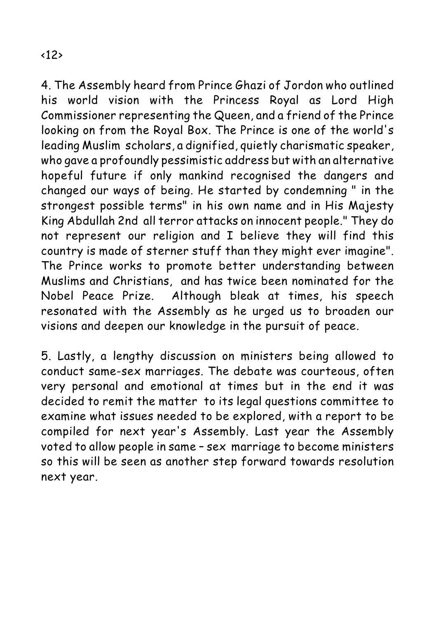4. The Assembly heard from Prince Ghazi of Jordon who outlined his world vision with the Princess Royal as Lord High Commissioner representing the Queen, and a friend of the Prince looking on from the Royal Box. The Prince is one of the world's leading Muslim scholars, a dignified, quietly charismatic speaker, who gave a profoundly pessimistic address but with an alternative hopeful future if only mankind recognised the dangers and changed our ways of being. He started by condemning " in the strongest possible terms" in his own name and in His Majesty King Abdullah 2nd all terror attacks on innocent people." They do not represent our religion and I believe they will find this country is made of sterner stuff than they might ever imagine". The Prince works to promote better understanding between Muslims and Christians, and has twice been nominated for the Nobel Peace Prize. Although bleak at times, his speech resonated with the Assembly as he urged us to broaden our visions and deepen our knowledge in the pursuit of peace.

5. Lastly, a lengthy discussion on ministers being allowed to conduct same-sex marriages. The debate was courteous, often very personal and emotional at times but in the end it was decided to remit the matter to its legal questions committee to examine what issues needed to be explored, with a report to be compiled for next year's Assembly. Last year the Assembly voted to allow people in same – sex marriage to become ministers so this will be seen as another step forward towards resolution next year.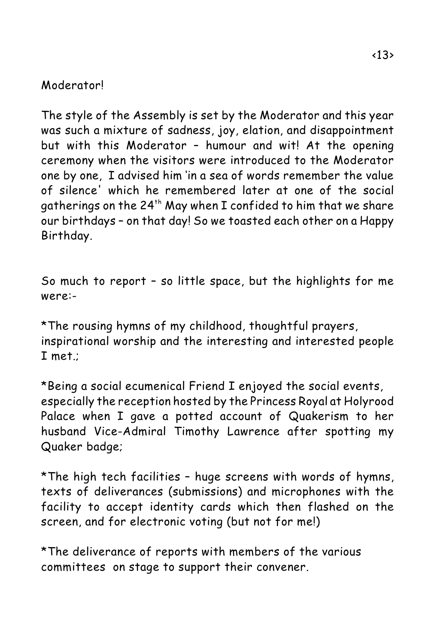#### Moderator!

The style of the Assembly is set by the Moderator and this year was such a mixture of sadness, joy, elation, and disappointment but with this Moderator – humour and wit! At the opening ceremony when the visitors were introduced to the Moderator one by one, I advised him 'in a sea of words remember the value of silence' which he remembered later at one of the social aatherings on the 24<sup>th</sup> May when I confided to him that we share our birthdays – on that day! So we toasted each other on a Happy Birthday.

So much to report – so little space, but the highlights for me were:-

\*The rousing hymns of my childhood, thoughtful prayers, inspirational worship and the interesting and interested people I met.;

\*Being a social ecumenical Friend I enjoyed the social events, especially the reception hosted by the Princess Royal at Holyrood Palace when I gave a potted account of Quakerism to her husband Vice-Admiral Timothy Lawrence after spotting my Quaker badge;

\*The high tech facilities – huge screens with words of hymns, texts of deliverances (submissions) and microphones with the facility to accept identity cards which then flashed on the screen, and for electronic voting (but not for me!)

\*The deliverance of reports with members of the various committees on stage to support their convener.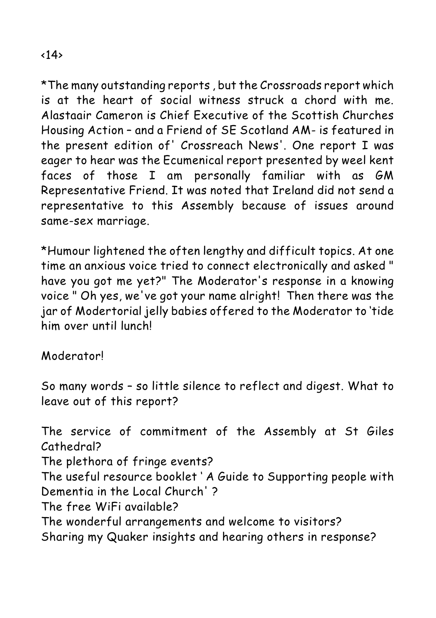\*The many outstanding reports , but the Crossroads report which is at the heart of social witness struck a chord with me. Alastaair Cameron is Chief Executive of the Scottish Churches Housing Action – and a Friend of SE Scotland AM- is featured in the present edition of' Crossreach News'. One report I was eager to hear was the Ecumenical report presented by weel kent faces of those I am personally familiar with as GM Representative Friend. It was noted that Ireland did not send a representative to this Assembly because of issues around same-sex marriage.

\*Humour lightened the often lengthy and difficult topics. At one time an anxious voice tried to connect electronically and asked " have you got me yet?" The Moderator's response in a knowing voice " Oh yes, we've got your name alright! Then there was the jar of Modertorial jelly babies offered to the Moderator to 'tide him over until lunch!

Moderator!

So many words – so little silence to reflect and digest. What to leave out of this report?

The service of commitment of the Assembly at St Giles Cathedral? The plethora of fringe events? The useful resource booklet ' A Guide to Supporting people with Dementia in the Local Church' ? The free WiFi available? The wonderful arrangements and welcome to visitors? Sharing my Quaker insights and hearing others in response?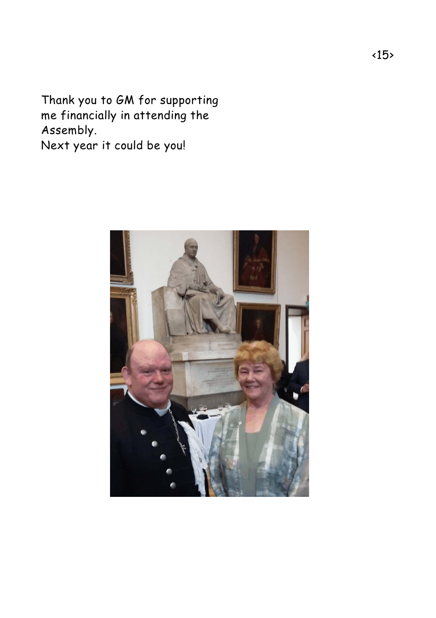Thank you to GM for supporting me financially in attending the Assembly. Next year it could be you!

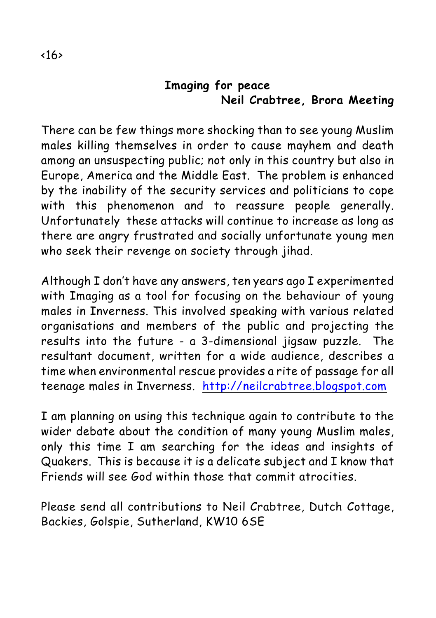#### **Imaging for peace Neil Crabtree, Brora Meeting**

There can be few things more shocking than to see young Muslim males killing themselves in order to cause mayhem and death among an unsuspecting public; not only in this country but also in Europe, America and the Middle East. The problem is enhanced by the inability of the security services and politicians to cope with this phenomenon and to reassure people generally. Unfortunately these attacks will continue to increase as long as there are angry frustrated and socially unfortunate young men who seek their revenge on society through jihad.

Although I don't have any answers, ten years ago I experimented with Imaging as a tool for focusing on the behaviour of young males in Inverness. This involved speaking with various related organisations and members of the public and projecting the results into the future - a 3-dimensional jigsaw puzzle. The resultant document, written for a wide audience, describes a time when environmental rescue provides a rite of passage for all teenage males in Inverness. [http://neilcrabtree.blogspot.com](Http://neilcrabtree.blogspot.com)

I am planning on using this technique again to contribute to the wider debate about the condition of many young Muslim males, only this time I am searching for the ideas and insights of Quakers. This is because it is a delicate subject and I know that Friends will see God within those that commit atrocities.

Please send all contributions to Neil Crabtree, Dutch Cottage, Backies, Golspie, Sutherland, KW10 6SE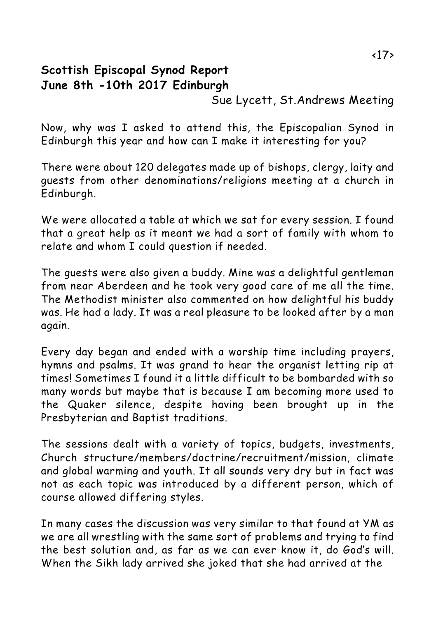#### **Scottish Episcopal Synod Report June 8th -10th 2017 Edinburgh**

Sue Lycett, St.Andrews Meeting

Now, why was I asked to attend this, the Episcopalian Synod in Edinburgh this year and how can I make it interesting for you?

There were about 120 delegates made up of bishops, clergy, laity and guests from other denominations/religions meeting at a church in Edinburgh.

We were allocated a table at which we sat for every session. I found that a great help as it meant we had a sort of family with whom to relate and whom I could question if needed.

The guests were also given a buddy. Mine was a delightful gentleman from near Aberdeen and he took very good care of me all the time. The Methodist minister also commented on how delightful his buddy was. He had a lady. It was a real pleasure to be looked after by a man again.

Every day began and ended with a worship time including prayers, hymns and psalms. It was grand to hear the organist letting rip at times! Sometimes I found it a little difficult to be bombarded with so many words but maybe that is because I am becoming more used to the Quaker silence, despite having been brought up in the Presbyterian and Baptist traditions.

The sessions dealt with a variety of topics, budgets, investments, Church structure/members/doctrine/recruitment/mission, climate and global warming and youth. It all sounds very dry but in fact was not as each topic was introduced by a different person, which of course allowed differing styles.

In many cases the discussion was very similar to that found at YM as we are all wrestling with the same sort of problems and trying to find the best solution and, as far as we can ever know it, do God's will. When the Sikh lady arrived she joked that she had arrived at the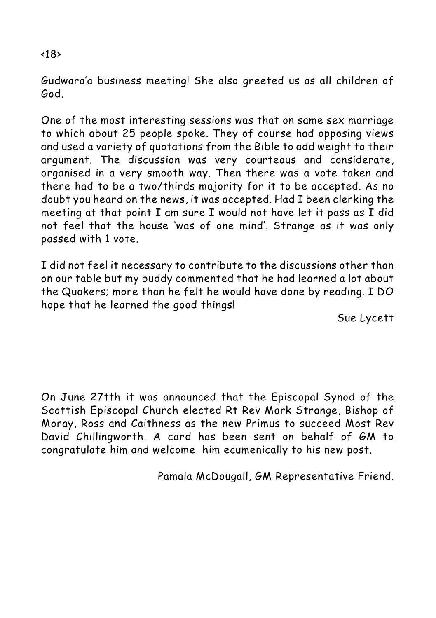#### Gudwara'a business meeting! She also greeted us as all children of God.

One of the most interesting sessions was that on same sex marriage to which about 25 people spoke. They of course had opposing views and used a variety of quotations from the Bible to add weight to their argument. The discussion was very courteous and considerate, organised in a very smooth way. Then there was a vote taken and there had to be a two/thirds majority for it to be accepted. As no doubt you heard on the news, it was accepted. Had I been clerking the meeting at that point I am sure I would not have let it pass as I did not feel that the house 'was of one mind'. Strange as it was only passed with 1 vote.

I did not feel it necessary to contribute to the discussions other than on our table but my buddy commented that he had learned a lot about the Quakers; more than he felt he would have done by reading. I DO hope that he learned the good things!

Sue Lycett

On June 27tth it was announced that the Episcopal Synod of the Scottish Episcopal Church elected Rt Rev Mark Strange, Bishop of Moray, Ross and Caithness as the new Primus to succeed Most Rev David Chillingworth. A card has been sent on behalf of GM to congratulate him and welcome him ecumenically to his new post.

Pamala McDougall, GM Representative Friend.

#### <18>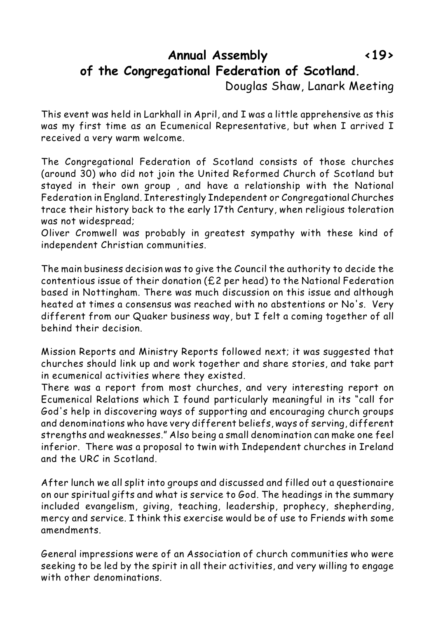#### **Annual Assembly <19> of the Congregational Federation of Scotland.**

Douglas Shaw, Lanark Meeting

This event was held in Larkhall in April, and I was a little apprehensive as this was my first time as an Ecumenical Representative, but when I arrived I received a very warm welcome.

The Congregational Federation of Scotland consists of those churches (around 30) who did not join the United Reformed Church of Scotland but stayed in their own group , and have a relationship with the National Federation in England. Interestingly Independent or Congregational Churches trace their history back to the early 17th Century, when religious toleration was not widespread;

Oliver Cromwell was probably in greatest sympathy with these kind of independent Christian communities.

The main business decision was to give the Council the authority to decide the contentious issue of their donation (£2 per head) to the National Federation based in Nottingham. There was much discussion on this issue and although heated at times a consensus was reached with no abstentions or No's. Very different from our Quaker business way, but I felt a coming together of all behind their decision.

Mission Reports and Ministry Reports followed next; it was suggested that churches should link up and work together and share stories, and take part in ecumenical activities where they existed.

There was a report from most churches, and very interesting report on Ecumenical Relations which I found particularly meaningful in its "call for God's help in discovering ways of supporting and encouraging church groups and denominations who have very different beliefs, ways of serving, different strengths and weaknesses." Also being a small denomination can make one feel inferior. There was a proposal to twin with Independent churches in Ireland and the URC in Scotland.

After lunch we all split into groups and discussed and filled out a questionaire on our spiritual gifts and what is service to God. The headings in the summary included evangelism, giving, teaching, leadership, prophecy, shepherding, mercy and service. I think this exercise would be of use to Friends with some amendments.

General impressions were of an Association of church communities who were seeking to be led by the spirit in all their activities, and very willing to engage with other denominations.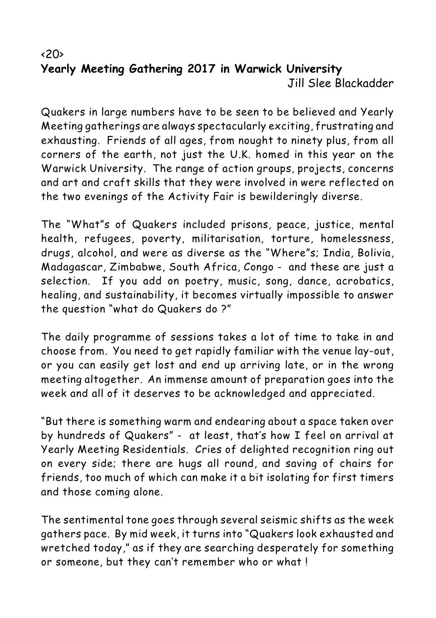#### $\langle 20 \rangle$ **Yearly Meeting Gathering 2017 in Warwick University** Jill Slee Blackadder

Quakers in large numbers have to be seen to be believed and Yearly Meeting gatherings are always spectacularly exciting, frustrating and exhausting. Friends of all ages, from nought to ninety plus, from all corners of the earth, not just the U.K. homed in this year on the Warwick University. The range of action groups, projects, concerns and art and craft skills that they were involved in were reflected on the two evenings of the Activity Fair is bewilderingly diverse.

The "What"s of Quakers included prisons, peace, justice, mental health, refugees, poverty, militarisation, torture, homelessness, drugs, alcohol, and were as diverse as the "Where"s; India, Bolivia, Madagascar, Zimbabwe, South Africa, Congo - and these are just a selection. If you add on poetry, music, song, dance, acrobatics, healing, and sustainability, it becomes virtually impossible to answer the question "what do Quakers do ?"

The daily programme of sessions takes a lot of time to take in and choose from. You need to get rapidly familiar with the venue lay-out, or you can easily get lost and end up arriving late, or in the wrong meeting altogether. An immense amount of preparation goes into the week and all of it deserves to be acknowledged and appreciated.

"But there is something warm and endearing about a space taken over by hundreds of Quakers" - at least, that's how I feel on arrival at Yearly Meeting Residentials. Cries of delighted recognition ring out on every side; there are hugs all round, and saving of chairs for friends, too much of which can make it a bit isolating for first timers and those coming alone.

The sentimental tone goes through several seismic shifts as the week gathers pace. By mid week, it turns into "Quakers look exhausted and wretched today," as if they are searching desperately for something or someone, but they can't remember who or what !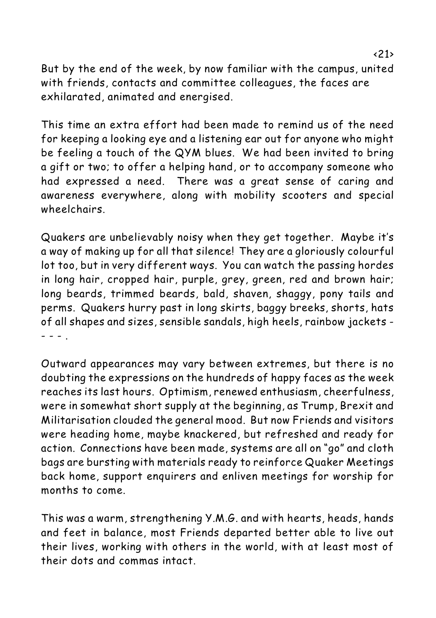But by the end of the week, by now familiar with the campus, united with friends, contacts and committee colleagues, the faces are exhilarated, animated and energised.

This time an extra effort had been made to remind us of the need for keeping a looking eye and a listening ear out for anyone who might be feeling a touch of the QYM blues. We had been invited to bring a gift or two; to offer a helping hand, or to accompany someone who had expressed a need. There was a great sense of caring and awareness everywhere, along with mobility scooters and special wheelchairs.

Quakers are unbelievably noisy when they get together. Maybe it's a way of making up for all that silence! They are a gloriously colourful lot too, but in very different ways. You can watch the passing hordes in long hair, cropped hair, purple, grey, green, red and brown hair; long beards, trimmed beards, bald, shaven, shaggy, pony tails and perms. Quakers hurry past in long skirts, baggy breeks, shorts, hats of all shapes and sizes, sensible sandals, high heels, rainbow jackets - - - - .

Outward appearances may vary between extremes, but there is no doubting the expressions on the hundreds of happy faces as the week reaches its last hours. Optimism, renewed enthusiasm, cheerfulness, were in somewhat short supply at the beginning, as Trump, Brexit and Militarisation clouded the general mood. But now Friends and visitors were heading home, maybe knackered, but refreshed and ready for action. Connections have been made, systems are all on "go" and cloth bags are bursting with materials ready to reinforce Quaker Meetings back home, support enquirers and enliven meetings for worship for months to come.

This was a warm, strengthening Y.M.G. and with hearts, heads, hands and feet in balance, most Friends departed better able to live out their lives, working with others in the world, with at least most of their dots and commas intact.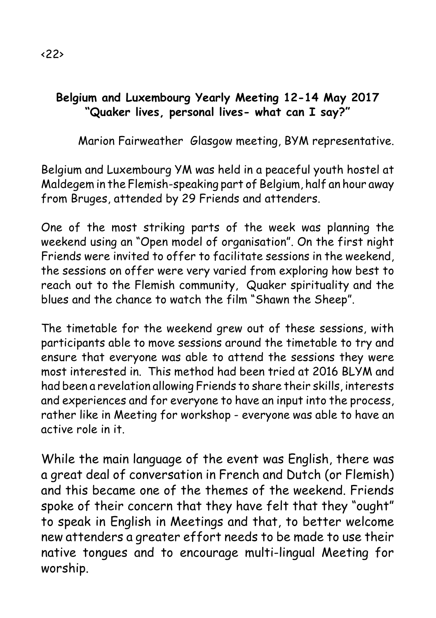#### **Belgium and Luxembourg Yearly Meeting 12-14 May 2017 "Quaker lives, personal lives- what can I say?"**

Marion Fairweather Glasgow meeting, BYM representative.

Belgium and Luxembourg YM was held in a peaceful youth hostel at Maldegem in the Flemish-speaking part of Belgium, half an hour away from Bruges, attended by 29 Friends and attenders.

One of the most striking parts of the week was planning the weekend using an "Open model of organisation". On the first night Friends were invited to offer to facilitate sessions in the weekend, the sessions on offer were very varied from exploring how best to reach out to the Flemish community, Quaker spirituality and the blues and the chance to watch the film "Shawn the Sheep".

The timetable for the weekend grew out of these sessions, with participants able to move sessions around the timetable to try and ensure that everyone was able to attend the sessions they were most interested in. This method had been tried at 2016 BLYM and had been a revelation allowing Friends to share their skills, interests and experiences and for everyone to have an input into the process, rather like in Meeting for workshop - everyone was able to have an active role in it.

While the main language of the event was English, there was a great deal of conversation in French and Dutch (or Flemish) and this became one of the themes of the weekend. Friends spoke of their concern that they have felt that they "ought" to speak in English in Meetings and that, to better welcome new attenders a greater effort needs to be made to use their native tongues and to encourage multi-lingual Meeting for worship.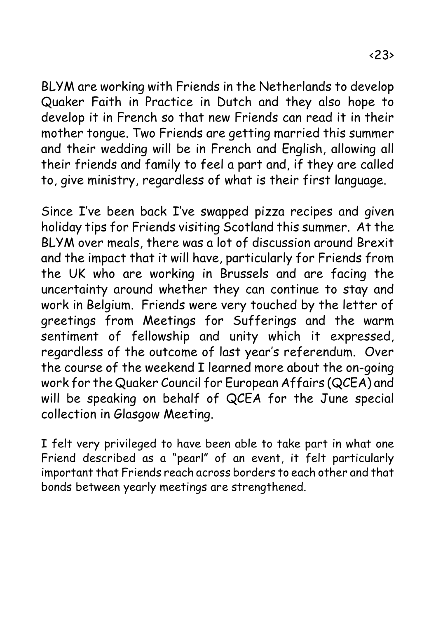BLYM are working with Friends in the Netherlands to develop Quaker Faith in Practice in Dutch and they also hope to develop it in French so that new Friends can read it in their mother tongue. Two Friends are getting married this summer and their wedding will be in French and English, allowing all their friends and family to feel a part and, if they are called to, give ministry, regardless of what is their first language.

Since I've been back I've swapped pizza recipes and given holiday tips for Friends visiting Scotland this summer. At the BLYM over meals, there was a lot of discussion around Brexit and the impact that it will have, particularly for Friends from the UK who are working in Brussels and are facing the uncertainty around whether they can continue to stay and work in Belgium. Friends were very touched by the letter of greetings from Meetings for Sufferings and the warm sentiment of fellowship and unity which it expressed, regardless of the outcome of last year's referendum. Over the course of the weekend I learned more about the on-going work for the Quaker Council for European Affairs (QCEA) and will be speaking on behalf of QCEA for the June special collection in Glasgow Meeting.

I felt very privileged to have been able to take part in what one Friend described as a "pearl" of an event, it felt particularly important that Friends reach across borders to each other and that bonds between yearly meetings are strengthened.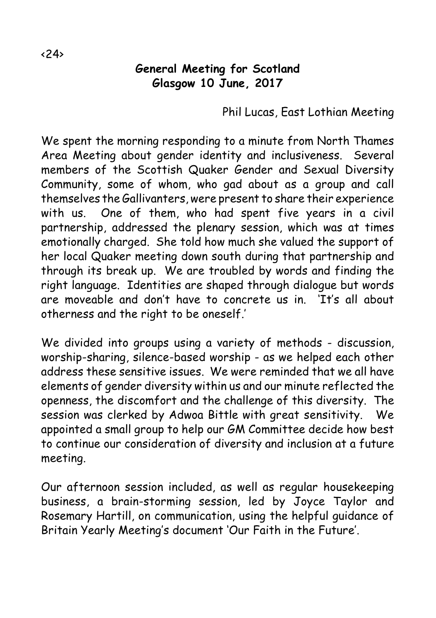#### **General Meeting for Scotland Glasgow 10 June, 2017**

Phil Lucas, East Lothian Meeting

We spent the morning responding to a minute from North Thames Area Meeting about gender identity and inclusiveness. Several members of the Scottish Quaker Gender and Sexual Diversity Community, some of whom, who gad about as a group and call themselves the Gallivanters, were present to share their experience with us. One of them, who had spent five years in a civil partnership, addressed the plenary session, which was at times emotionally charged. She told how much she valued the support of her local Quaker meeting down south during that partnership and through its break up. We are troubled by words and finding the right language. Identities are shaped through dialogue but words are moveable and don't have to concrete us in. 'It's all about otherness and the right to be oneself.'

We divided into groups using a variety of methods - discussion, worship-sharing, silence-based worship - as we helped each other address these sensitive issues. We were reminded that we all have elements of gender diversity within us and our minute reflected the openness, the discomfort and the challenge of this diversity. The session was clerked by Adwoa Bittle with great sensitivity. We appointed a small group to help our GM Committee decide how best to continue our consideration of diversity and inclusion at a future meeting.

Our afternoon session included, as well as regular housekeeping business, a brain-storming session, led by Joyce Taylor and Rosemary Hartill, on communication, using the helpful guidance of Britain Yearly Meeting's document 'Our Faith in the Future'.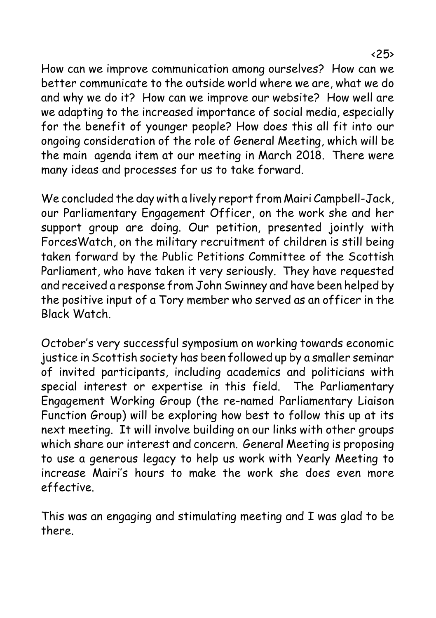How can we improve communication among ourselves? How can we better communicate to the outside world where we are, what we do and why we do it? How can we improve our website? How well are we adapting to the increased importance of social media, especially for the benefit of younger people? How does this all fit into our ongoing consideration of the role of General Meeting, which will be the main agenda item at our meeting in March 2018. There were many ideas and processes for us to take forward.

We concluded the day with a lively report from Mairi Campbell-Jack, our Parliamentary Engagement Officer, on the work she and her support group are doing. Our petition, presented jointly with ForcesWatch, on the military recruitment of children is still being taken forward by the Public Petitions Committee of the Scottish Parliament, who have taken it very seriously. They have requested and received a response from John Swinney and have been helped by the positive input of a Tory member who served as an officer in the Black Watch.

October's very successful symposium on working towards economic justice in Scottish society has been followed up by a smaller seminar of invited participants, including academics and politicians with special interest or expertise in this field. The Parliamentary Engagement Working Group (the re-named Parliamentary Liaison Function Group) will be exploring how best to follow this up at its next meeting. It will involve building on our links with other groups which share our interest and concern. General Meeting is proposing to use a generous legacy to help us work with Yearly Meeting to increase Mairi's hours to make the work she does even more effective.

This was an engaging and stimulating meeting and I was glad to be there.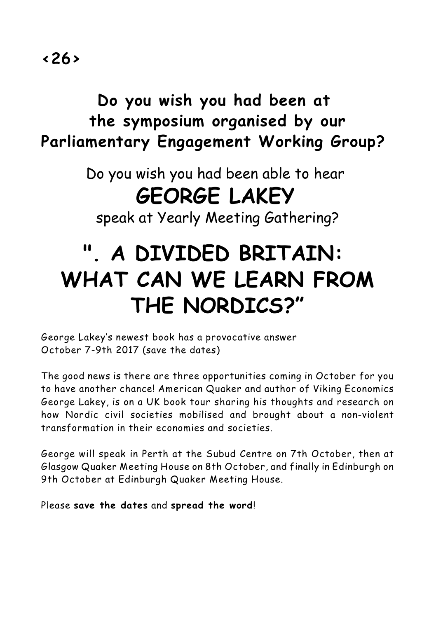## **Do you wish you had been at the symposium organised by our Parliamentary Engagement Working Group?**

Do you wish you had been able to hear **GEORGE LAKEY**

speak at Yearly Meeting Gathering?

# **". A DIVIDED BRITAIN: WHAT CAN WE LEARN FROM THE NORDICS?"**

George Lakey's newest book has a provocative answer October 7-9th 2017 (save the dates)

The good news is there are three opportunities coming in October for you to have another chance! American Quaker and author of Viking Economics George Lakey, is on a UK book tour sharing his thoughts and research on how Nordic civil societies mobilised and brought about a non-violent transformation in their economies and societies.

George will speak in Perth at the Subud Centre on 7th October, then at Glasgow Quaker Meeting House on 8th October, and finally in Edinburgh on 9th October at Edinburgh Quaker Meeting House.

Please **save the dates** and **spread the word**!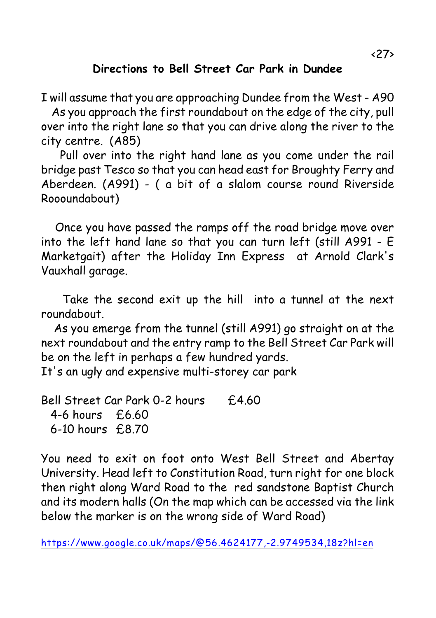#### **Directions to Bell Street Car Park in Dundee**

I will assume that you are approaching Dundee from the West - A90

 As you approach the first roundabout on the edge of the city, pull over into the right lane so that you can drive along the river to the city centre. (A85)

 Pull over into the right hand lane as you come under the rail bridge past Tesco so that you can head east for Broughty Ferry and Aberdeen. (A991) - ( a bit of a slalom course round Riverside Roooundabout)

 Once you have passed the ramps off the road bridge move over into the left hand lane so that you can turn left (still A991 - E Marketgait) after the Holiday Inn Express at Arnold Clark's Vauxhall garage.

Take the second exit up the hill into a tunnel at the next roundabout.

 As you emerge from the tunnel (still A991) go straight on at the next roundabout and the entry ramp to the Bell Street Car Park will be on the left in perhaps a few hundred yards. It's an ugly and expensive multi-storey car park

Bell Street Car Park 0-2 hours £4.60 4-6 hours £6.60 6-10 hours £8.70

You need to exit on foot onto West Bell Street and Abertay University. Head left to Constitution Road, turn right for one block then right along Ward Road to the red sandstone Baptist Church and its modern halls (On the map which can be accessed via the link below the marker is on the wrong side of Ward Road)

[https://www.google.co.uk/maps/@56.4624177,-2.9749534,18z?hl=en](mailto:https://www.google.co.uk/maps/@56.4624177,-2.9749534,18z?hl=en)